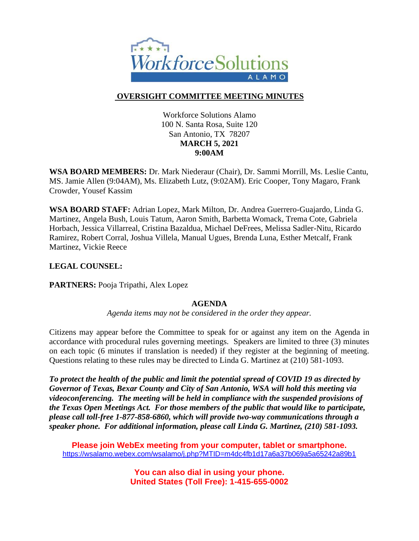

# **OVERSIGHT COMMITTEE MEETING MINUTES**

Workforce Solutions Alamo 100 N. Santa Rosa, Suite 120 San Antonio, TX 78207 **MARCH 5, 2021 9:00AM**

**WSA BOARD MEMBERS:** Dr. Mark Niederaur (Chair), Dr. Sammi Morrill, Ms. Leslie Cantu, MS. Jamie Allen (9:04AM), Ms. Elizabeth Lutz, (9:02AM). Eric Cooper, Tony Magaro, Frank Crowder, Yousef Kassim

**WSA BOARD STAFF:** Adrian Lopez, Mark Milton, Dr. Andrea Guerrero-Guajardo, Linda G. Martinez, Angela Bush, Louis Tatum, Aaron Smith, Barbetta Womack, Trema Cote, Gabriela Horbach, Jessica Villarreal, Cristina Bazaldua, Michael DeFrees, Melissa Sadler-Nitu, Ricardo Ramirez, Robert Corral, Joshua Villela, Manual Ugues, Brenda Luna, Esther Metcalf, Frank Martinez, Vickie Reece

## **LEGAL COUNSEL:**

**PARTNERS:** Pooja Tripathi, Alex Lopez

## **AGENDA**

*Agenda items may not be considered in the order they appear.*

Citizens may appear before the Committee to speak for or against any item on the Agenda in accordance with procedural rules governing meetings. Speakers are limited to three (3) minutes on each topic (6 minutes if translation is needed) if they register at the beginning of meeting. Questions relating to these rules may be directed to Linda G. Martinez at (210) 581-1093.

*To protect the health of the public and limit the potential spread of COVID 19 as directed by Governor of Texas, Bexar County and City of San Antonio, WSA will hold this meeting via videoconferencing. The meeting will be held in compliance with the suspended provisions of the Texas Open Meetings Act. For those members of the public that would like to participate, please call toll-free 1-877-858-6860, which will provide two-way communications through a speaker phone. For additional information, please call Linda G. Martinez, (210) 581-1093.* 

**Please join WebEx meeting from your computer, tablet or smartphone.**  <https://wsalamo.webex.com/wsalamo/j.php?MTID=m4dc4fb1d17a6a37b069a5a65242a89b1>

> **You can also dial in using your phone. United States (Toll Free): 1-415-655-0002**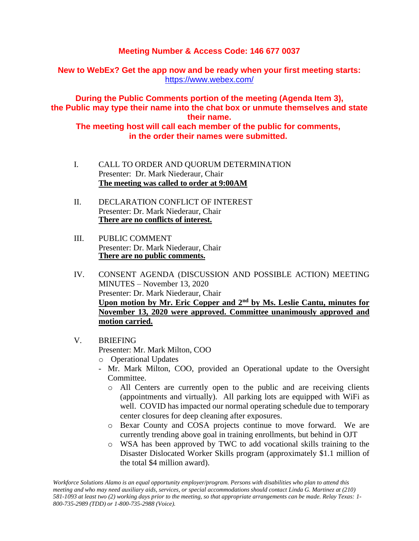# **Meeting Number & Access Code: 146 677 0037**

**New to WebEx? Get the app now and be ready when your first meeting starts:**  <https://www.webex.com/>

**During the Public Comments portion of the meeting (Agenda Item 3), the Public may type their name into the chat box or unmute themselves and state their name.**

**The meeting host will call each member of the public for comments, in the order their names were submitted.**

- I. CALL TO ORDER AND QUORUM DETERMINATION Presenter: Dr. Mark Niederaur, Chair **The meeting was called to order at 9:00AM**
- II. DECLARATION CONFLICT OF INTEREST Presenter: Dr. Mark Niederaur, Chair **There are no conflicts of interest.**
- III. PUBLIC COMMENT Presenter: Dr. Mark Niederaur, Chair **There are no public comments.**
- IV. CONSENT AGENDA (DISCUSSION AND POSSIBLE ACTION) MEETING MINUTES – November 13, 2020 Presenter: Dr. Mark Niederaur, Chair **Upon motion by Mr. Eric Copper and 2nd by Ms. Leslie Cantu, minutes for November 13, 2020 were approved. Committee unanimously approved and motion carried.**
- V. BRIEFING Presenter: Mr. Mark Milton, COO o Operational Updates
	- Mr. Mark Milton, COO, provided an Operational update to the Oversight Committee.
		- o All Centers are currently open to the public and are receiving clients (appointments and virtually). All parking lots are equipped with WiFi as well. COVID has impacted our normal operating schedule due to temporary center closures for deep cleaning after exposures.
		- o Bexar County and COSA projects continue to move forward. We are currently trending above goal in training enrollments, but behind in OJT
		- o WSA has been approved by TWC to add vocational skills training to the Disaster Dislocated Worker Skills program (approximately \$1.1 million of the total \$4 million award).

*Workforce Solutions Alamo is an equal opportunity employer/program. Persons with disabilities who plan to attend this meeting and who may need auxiliary aids, services, or special accommodations should contact Linda G. Martinez at (210) 581-1093 at least two (2) working days prior to the meeting, so that appropriate arrangements can be made. Relay Texas: 1- 800-735-2989 (TDD) or 1-800-735-2988 (Voice).*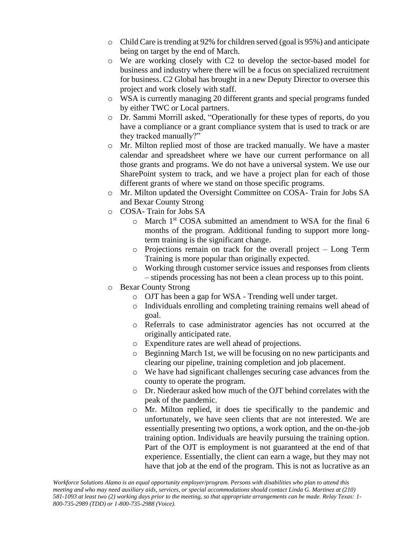- o Child Care is trending at 92% for children served (goal is 95%) and anticipate being on target by the end of March.
- o We are working closely with C2 to develop the sector-based model for business and industry where there will be a focus on specialized recruitment for business. C2 Global has brought in a new Deputy Director to oversee this project and work closely with staff.
- o WSA is currently managing 20 different grants and special programs funded by either TWC or Local partners.
- o Dr. Sammi Morrill asked, "Operationally for these types of reports, do you have a compliance or a grant compliance system that is used to track or are they tracked manually?"
- o Mr. Milton replied most of those are tracked manually. We have a master calendar and spreadsheet where we have our current performance on all those grants and programs. We do not have a universal system. We use our SharePoint system to track, and we have a project plan for each of those different grants of where we stand on those specific programs.
- o Mr. Milton updated the Oversight Committee on COSA- Train for Jobs SA and Bexar County Strong
- o COSA- Train for Jobs SA
	- o March 1st COSA submitted an amendment to WSA for the final 6 months of the program. Additional funding to support more longterm training is the significant change.
	- o Projections remain on track for the overall project Long Term Training is more popular than originally expected.
	- o Working through customer service issues and responses from clients – stipends processing has not been a clean process up to this point.
- o Bexar County Strong
	- o OJT has been a gap for WSA Trending well under target.
	- o Individuals enrolling and completing training remains well ahead of goal.
	- o Referrals to case administrator agencies has not occurred at the originally anticipated rate.
	- o Expenditure rates are well ahead of projections.
	- o Beginning March 1st, we will be focusing on no new participants and clearing our pipeline, training completion and job placement.
	- o We have had significant challenges securing case advances from the county to operate the program.
	- o Dr. Niederaur asked how much of the OJT behind correlates with the peak of the pandemic.
	- o Mr. Milton replied, it does tie specifically to the pandemic and unfortunately, we have seen clients that are not interested. We are essentially presenting two options, a work option, and the on-the-job training option. Individuals are heavily pursuing the training option. Part of the OJT is employment is not guaranteed at the end of that experience. Essentially, the client can earn a wage, but they may not have that job at the end of the program. This is not as lucrative as an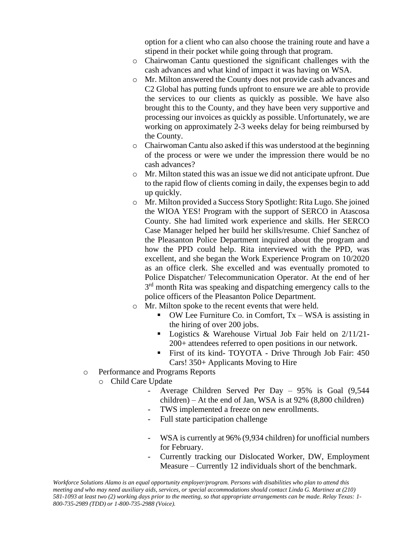option for a client who can also choose the training route and have a stipend in their pocket while going through that program.

- o Chairwoman Cantu questioned the significant challenges with the cash advances and what kind of impact it was having on WSA.
- o Mr. Milton answered the County does not provide cash advances and C2 Global has putting funds upfront to ensure we are able to provide the services to our clients as quickly as possible. We have also brought this to the County, and they have been very supportive and processing our invoices as quickly as possible. Unfortunately, we are working on approximately 2-3 weeks delay for being reimbursed by the County.
- o Chairwoman Cantu also asked if this was understood at the beginning of the process or were we under the impression there would be no cash advances?
- o Mr. Milton stated this was an issue we did not anticipate upfront. Due to the rapid flow of clients coming in daily, the expenses begin to add up quickly.
- o Mr. Milton provided a Success Story Spotlight: Rita Lugo. She joined the WIOA YES! Program with the support of SERCO in Atascosa County. She had limited work experience and skills. Her SERCO Case Manager helped her build her skills/resume. Chief Sanchez of the Pleasanton Police Department inquired about the program and how the PPD could help. Rita interviewed with the PPD, was excellent, and she began the Work Experience Program on 10/2020 as an office clerk. She excelled and was eventually promoted to Police Dispatcher/ Telecommunication Operator. At the end of her 3<sup>rd</sup> month Rita was speaking and dispatching emergency calls to the police officers of the Pleasanton Police Department.
- o Mr. Milton spoke to the recent events that were held.
	- $\bullet$  OW Lee Furniture Co. in Comfort, Tx WSA is assisting in the hiring of over 200 jobs.
	- Logistics & Warehouse Virtual Job Fair held on 2/11/21-200+ attendees referred to open positions in our network.
	- First of its kind- TOYOTA Drive Through Job Fair: 450 Cars! 350+ Applicants Moving to Hire
- o Performance and Programs Reports
	- o Child Care Update
		- Average Children Served Per Day 95% is Goal (9,544 children) – At the end of Jan, WSA is at 92% (8,800 children)
		- TWS implemented a freeze on new enrollments.
		- Full state participation challenge
		- WSA is currently at 96% (9,934 children) for unofficial numbers for February.
		- Currently tracking our Dislocated Worker, DW, Employment Measure – Currently 12 individuals short of the benchmark.

*Workforce Solutions Alamo is an equal opportunity employer/program. Persons with disabilities who plan to attend this meeting and who may need auxiliary aids, services, or special accommodations should contact Linda G. Martinez at (210) 581-1093 at least two (2) working days prior to the meeting, so that appropriate arrangements can be made. Relay Texas: 1- 800-735-2989 (TDD) or 1-800-735-2988 (Voice).*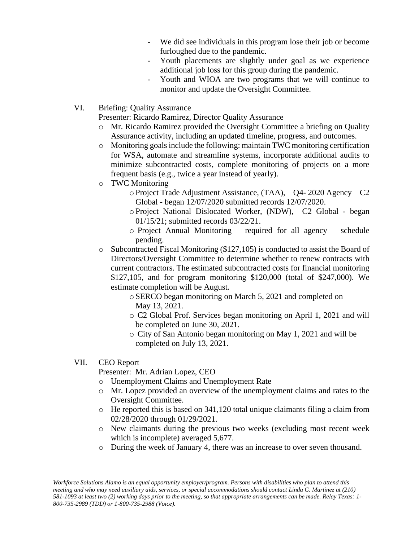- We did see individuals in this program lose their job or become furloughed due to the pandemic.
- Youth placements are slightly under goal as we experience additional job loss for this group during the pandemic.
- Youth and WIOA are two programs that we will continue to monitor and update the Oversight Committee.
- VI. Briefing: Quality Assurance

Presenter: Ricardo Ramirez, Director Quality Assurance

- o Mr. Ricardo Ramirez provided the Oversight Committee a briefing on Quality Assurance activity, including an updated timeline, progress, and outcomes.
- o Monitoring goals include the following: maintain TWC monitoring certification for WSA, automate and streamline systems, incorporate additional audits to minimize subcontracted costs, complete monitoring of projects on a more frequent basis (e.g., twice a year instead of yearly).
- o TWC Monitoring
	- o Project Trade Adjustment Assistance, (TAA), Q4- 2020 Agency C2 Global - began 12/07/2020 submitted records 12/07/2020.
	- o Project National Dislocated Worker, (NDW), –C2 Global began 01/15/21; submitted records 03/22/21.
	- o Project Annual Monitoring required for all agency schedule pending.
- $\circ$  Subcontracted Fiscal Monitoring (\$127,105) is conducted to assist the Board of Directors/Oversight Committee to determine whether to renew contracts with current contractors. The estimated subcontracted costs for financial monitoring \$127,105, and for program monitoring \$120,000 (total of \$247,000). We estimate completion will be August.
	- o SERCO began monitoring on March 5, 2021 and completed on May 13, 2021.
	- o C2 Global Prof. Services began monitoring on April 1, 2021 and will be completed on June 30, 2021.
	- o City of San Antonio began monitoring on May 1, 2021 and will be completed on July 13, 2021.

## VII. CEO Report

Presenter: Mr. Adrian Lopez, CEO

- o Unemployment Claims and Unemployment Rate
- o Mr. Lopez provided an overview of the unemployment claims and rates to the Oversight Committee.
- $\circ$  He reported this is based on 341,120 total unique claimants filing a claim from 02/28/2020 through 01/29/2021.
- o New claimants during the previous two weeks (excluding most recent week which is incomplete) averaged 5,677.
- o During the week of January 4, there was an increase to over seven thousand.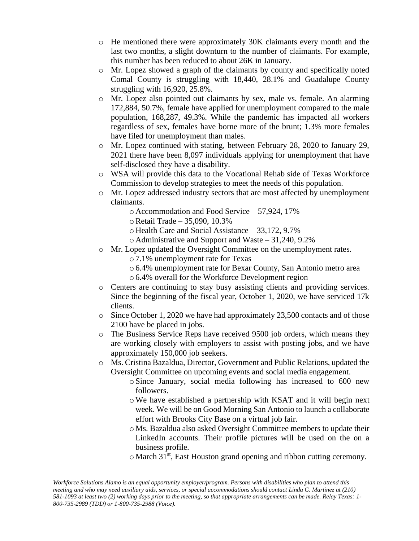- o He mentioned there were approximately 30K claimants every month and the last two months, a slight downturn to the number of claimants. For example, this number has been reduced to about 26K in January.
- o Mr. Lopez showed a graph of the claimants by county and specifically noted Comal County is struggling with 18,440, 28.1% and Guadalupe County struggling with 16,920, 25.8%.
- o Mr. Lopez also pointed out claimants by sex, male vs. female. An alarming 172,884, 50.7%, female have applied for unemployment compared to the male population, 168,287, 49.3%. While the pandemic has impacted all workers regardless of sex, females have borne more of the brunt; 1.3% more females have filed for unemployment than males.
- o Mr. Lopez continued with stating, between February 28, 2020 to January 29, 2021 there have been 8,097 individuals applying for unemployment that have self-disclosed they have a disability.
- o WSA will provide this data to the Vocational Rehab side of Texas Workforce Commission to develop strategies to meet the needs of this population.
- $\circ$  Mr. Lopez addressed industry sectors that are most affected by unemployment claimants.
	- o Accommodation and Food Service 57,924, 17%
	- oRetail Trade 35,090, 10.3%
	- o Health Care and Social Assistance 33,172, 9.7%
	- o Administrative and Support and Waste 31,240, 9.2%
- o Mr. Lopez updated the Oversight Committee on the unemployment rates.
	- o 7.1% unemployment rate for Texas
	- o 6.4% unemployment rate for Bexar County, San Antonio metro area o 6.4% overall for the Workforce Development region
- o Centers are continuing to stay busy assisting clients and providing services. Since the beginning of the fiscal year, October 1, 2020, we have serviced 17k clients.
- o Since October 1, 2020 we have had approximately 23,500 contacts and of those 2100 have be placed in jobs.
- o The Business Service Reps have received 9500 job orders, which means they are working closely with employers to assist with posting jobs, and we have approximately 150,000 job seekers.
- o Ms. Cristina Bazaldua, Director, Government and Public Relations, updated the Oversight Committee on upcoming events and social media engagement.
	- o Since January, social media following has increased to 600 new followers.
	- oWe have established a partnership with KSAT and it will begin next week. We will be on Good Morning San Antonio to launch a collaborate effort with Brooks City Base on a virtual job fair.
	- o Ms. Bazaldua also asked Oversight Committee members to update their LinkedIn accounts. Their profile pictures will be used on the on a business profile.
	- o March 31st, East Houston grand opening and ribbon cutting ceremony.